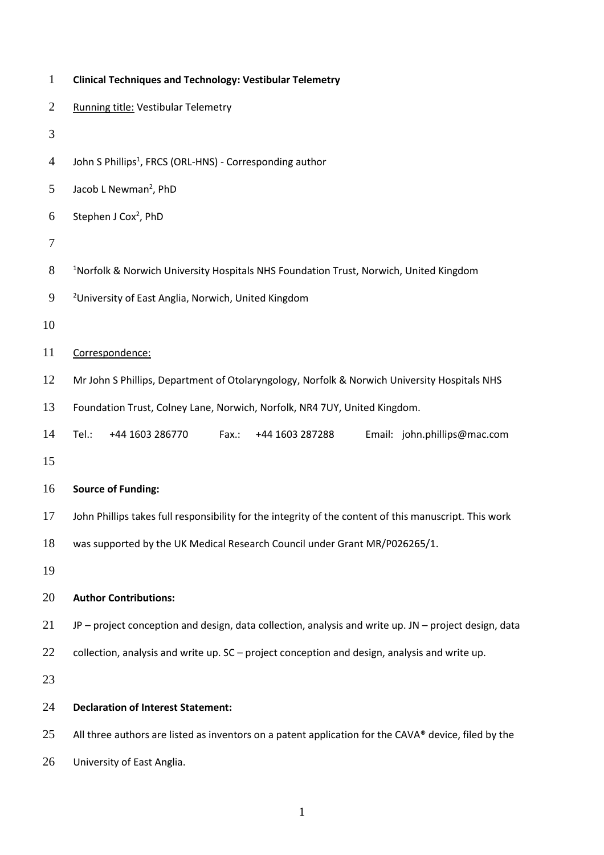| <b>Clinical Techniques and Technology: Vestibular Telemetry</b>                                        |  |  |  |
|--------------------------------------------------------------------------------------------------------|--|--|--|
| Running title: Vestibular Telemetry                                                                    |  |  |  |
|                                                                                                        |  |  |  |
| John S Phillips <sup>1</sup> , FRCS (ORL-HNS) - Corresponding author                                   |  |  |  |
| Jacob L Newman <sup>2</sup> , PhD                                                                      |  |  |  |
| Stephen J Cox <sup>2</sup> , PhD                                                                       |  |  |  |
|                                                                                                        |  |  |  |
| <sup>1</sup> Norfolk & Norwich University Hospitals NHS Foundation Trust, Norwich, United Kingdom      |  |  |  |
| <sup>2</sup> University of East Anglia, Norwich, United Kingdom                                        |  |  |  |
|                                                                                                        |  |  |  |
| Correspondence:                                                                                        |  |  |  |
| Mr John S Phillips, Department of Otolaryngology, Norfolk & Norwich University Hospitals NHS           |  |  |  |
| Foundation Trust, Colney Lane, Norwich, Norfolk, NR4 7UY, United Kingdom.                              |  |  |  |
| Tel.:<br>+44 1603 286770<br>Fax.:<br>+44 1603 287288<br>Email: john.phillips@mac.com                   |  |  |  |
|                                                                                                        |  |  |  |
| <b>Source of Funding:</b>                                                                              |  |  |  |
| John Phillips takes full responsibility for the integrity of the content of this manuscript. This work |  |  |  |
| was supported by the UK Medical Research Council under Grant MR/P026265/1.                             |  |  |  |
|                                                                                                        |  |  |  |
| <b>Author Contributions:</b>                                                                           |  |  |  |
| JP - project conception and design, data collection, analysis and write up. JN - project design, data  |  |  |  |
| collection, analysis and write up. SC - project conception and design, analysis and write up.          |  |  |  |
|                                                                                                        |  |  |  |
| <b>Declaration of Interest Statement:</b>                                                              |  |  |  |
| All three authors are listed as inventors on a patent application for the CAVA® device, filed by the   |  |  |  |
| University of East Anglia.                                                                             |  |  |  |
|                                                                                                        |  |  |  |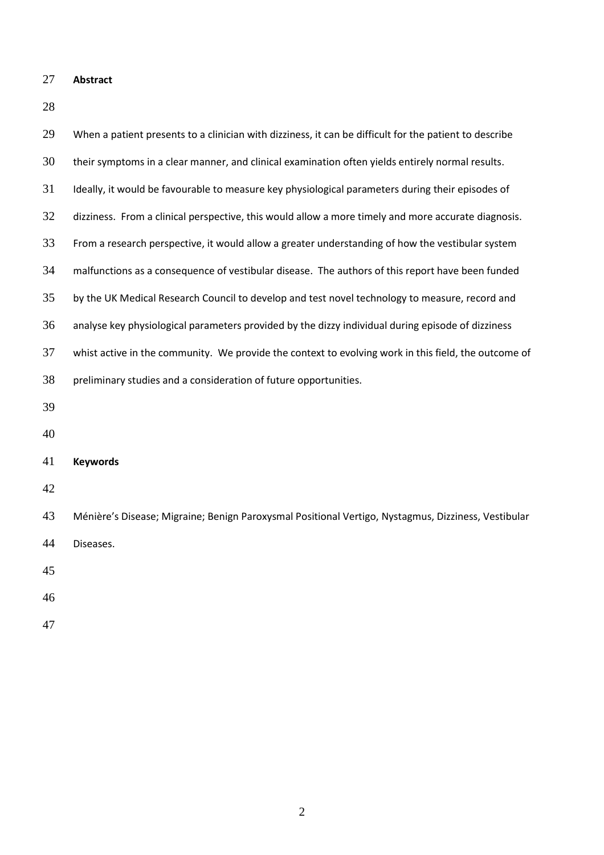**Abstract**

| 29 | When a patient presents to a clinician with dizziness, it can be difficult for the patient to describe |  |  |  |  |
|----|--------------------------------------------------------------------------------------------------------|--|--|--|--|
| 30 | their symptoms in a clear manner, and clinical examination often yields entirely normal results.       |  |  |  |  |
| 31 | Ideally, it would be favourable to measure key physiological parameters during their episodes of       |  |  |  |  |
| 32 | dizziness. From a clinical perspective, this would allow a more timely and more accurate diagnosis.    |  |  |  |  |
| 33 | From a research perspective, it would allow a greater understanding of how the vestibular system       |  |  |  |  |
| 34 | malfunctions as a consequence of vestibular disease. The authors of this report have been funded       |  |  |  |  |
| 35 | by the UK Medical Research Council to develop and test novel technology to measure, record and         |  |  |  |  |
| 36 | analyse key physiological parameters provided by the dizzy individual during episode of dizziness      |  |  |  |  |
| 37 | whist active in the community. We provide the context to evolving work in this field, the outcome of   |  |  |  |  |
| 38 | preliminary studies and a consideration of future opportunities.                                       |  |  |  |  |
| 39 |                                                                                                        |  |  |  |  |
| 40 |                                                                                                        |  |  |  |  |
| 41 | <b>Keywords</b>                                                                                        |  |  |  |  |
| 42 |                                                                                                        |  |  |  |  |
| 43 | Ménière's Disease; Migraine; Benign Paroxysmal Positional Vertigo, Nystagmus, Dizziness, Vestibular    |  |  |  |  |
| 44 | Diseases.                                                                                              |  |  |  |  |
| 45 |                                                                                                        |  |  |  |  |
| 46 |                                                                                                        |  |  |  |  |
| 47 |                                                                                                        |  |  |  |  |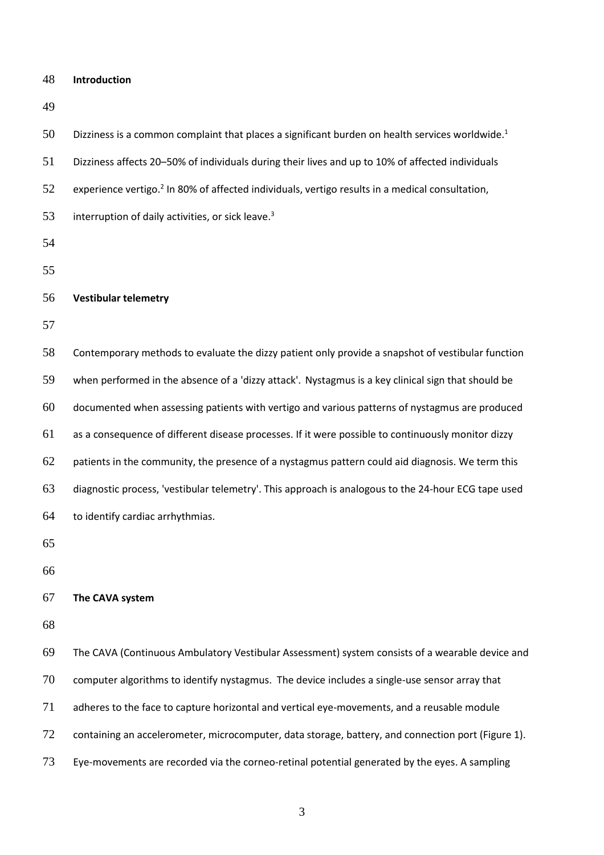**Introduction**

 Dizziness is a common complaint that places a significant burden on health services worldwide.<sup>1</sup> Dizziness affects 20–50% of individuals during their lives and up to 10% of affected individuals 52 experience vertigo.<sup>2</sup> In 80% of affected individuals, vertigo results in a medical consultation, 53 interruption of daily activities, or sick leave.<sup>3</sup> **Vestibular telemetry** Contemporary methods to evaluate the dizzy patient only provide a snapshot of vestibular function when performed in the absence of a 'dizzy attack'. Nystagmus is a key clinical sign that should be documented when assessing patients with vertigo and various patterns of nystagmus are produced as a consequence of different disease processes. If it were possible to continuously monitor dizzy 62 patients in the community, the presence of a nystagmus pattern could aid diagnosis. We term this diagnostic process, 'vestibular telemetry'. This approach is analogous to the 24-hour ECG tape used to identify cardiac arrhythmias. **The CAVA system** The CAVA (Continuous Ambulatory Vestibular Assessment) system consists of a wearable device and computer algorithms to identify nystagmus. The device includes a single-use sensor array that adheres to the face to capture horizontal and vertical eye-movements, and a reusable module containing an accelerometer, microcomputer, data storage, battery, and connection port (Figure 1). Eye-movements are recorded via the corneo-retinal potential generated by the eyes. A sampling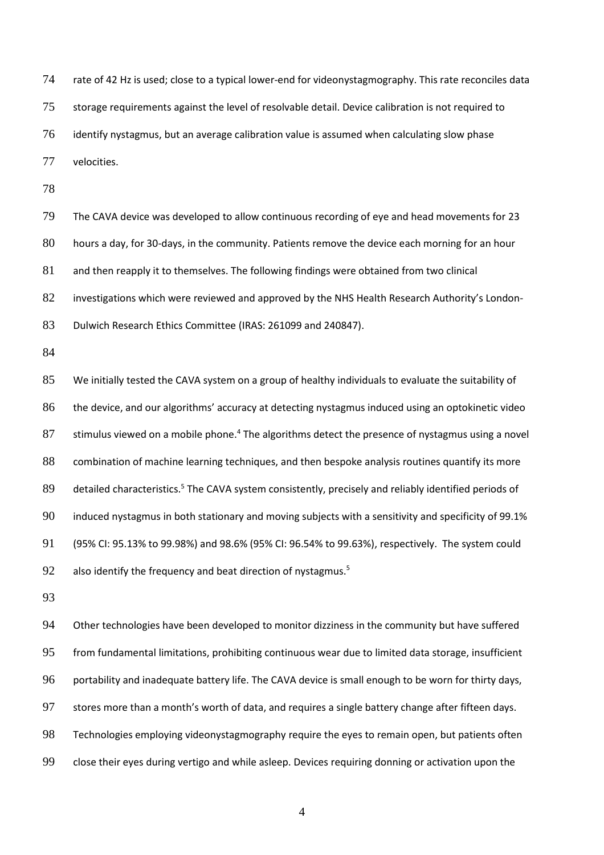rate of 42 Hz is used; close to a typical lower-end for videonystagmography. This rate reconciles data storage requirements against the level of resolvable detail. Device calibration is not required to identify nystagmus, but an average calibration value is assumed when calculating slow phase velocities.

 The CAVA device was developed to allow continuous recording of eye and head movements for 23 hours a day, for 30-days, in the community. Patients remove the device each morning for an hour and then reapply it to themselves. The following findings were obtained from two clinical investigations which were reviewed and approved by the NHS Health Research Authority's London-Dulwich Research Ethics Committee (IRAS: 261099 and 240847).

 We initially tested the CAVA system on a group of healthy individuals to evaluate the suitability of the device, and our algorithms' accuracy at detecting nystagmus induced using an optokinetic video stimulus viewed on a mobile phone.<sup>4</sup> The algorithms detect the presence of nystagmus using a novel combination of machine learning techniques, and then bespoke analysis routines quantify its more 89 detailed characteristics.<sup>5</sup> The CAVA system consistently, precisely and reliably identified periods of induced nystagmus in both stationary and moving subjects with a sensitivity and specificity of 99.1% (95% CI: 95.13% to 99.98%) and 98.6% (95% CI: 96.54% to 99.63%), respectively. The system could also identify the frequency and beat direction of nystagmus.<sup>5</sup>

 Other technologies have been developed to monitor dizziness in the community but have suffered from fundamental limitations, prohibiting continuous wear due to limited data storage, insufficient portability and inadequate battery life. The CAVA device is small enough to be worn for thirty days, stores more than a month's worth of data, and requires a single battery change after fifteen days. Technologies employing videonystagmography require the eyes to remain open, but patients often close their eyes during vertigo and while asleep. Devices requiring donning or activation upon the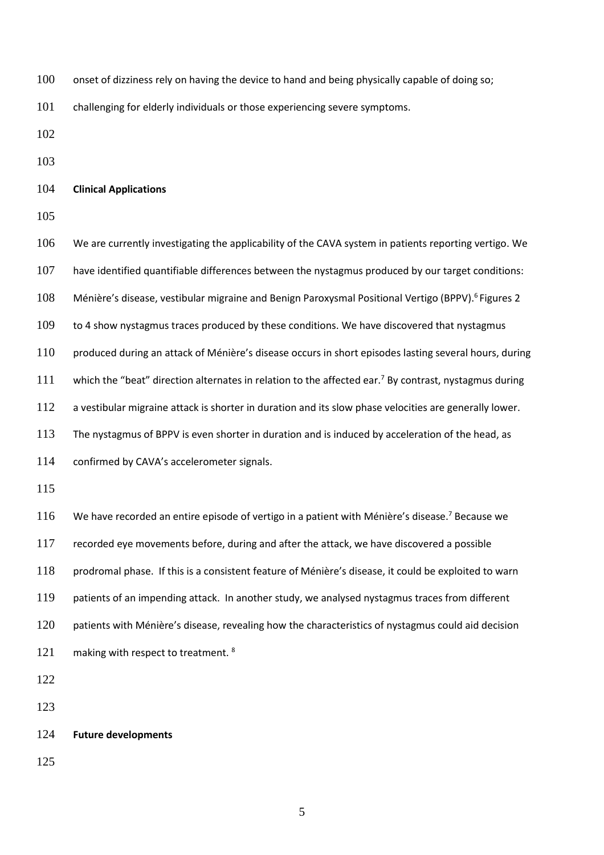100 onset of dizziness rely on having the device to hand and being physically capable of doing so;

challenging for elderly individuals or those experiencing severe symptoms.

## **Clinical Applications**

 We are currently investigating the applicability of the CAVA system in patients reporting vertigo. We have identified quantifiable differences between the nystagmus produced by our target conditions: 108 Ménière's disease, vestibular migraine and Benign Paroxysmal Positional Vertigo (BPPV).<sup>6</sup> Figures 2 109 to 4 show nystagmus traces produced by these conditions. We have discovered that nystagmus produced during an attack of Ménière's disease occurs in short episodes lasting several hours, during 111 which the "beat" direction alternates in relation to the affected ear.<sup>7</sup> By contrast, nystagmus during a vestibular migraine attack is shorter in duration and its slow phase velocities are generally lower. The nystagmus of BPPV is even shorter in duration and is induced by acceleration of the head, as confirmed by CAVA's accelerometer signals. 116 We have recorded an entire episode of vertigo in a patient with Ménière's disease.<sup>7</sup> Because we recorded eye movements before, during and after the attack, we have discovered a possible prodromal phase. If this is a consistent feature of Ménière's disease, it could be exploited to warn 119 patients of an impending attack. In another study, we analysed nystagmus traces from different patients with Ménière's disease, revealing how the characteristics of nystagmus could aid decision 121 making with respect to treatment. **Future developments**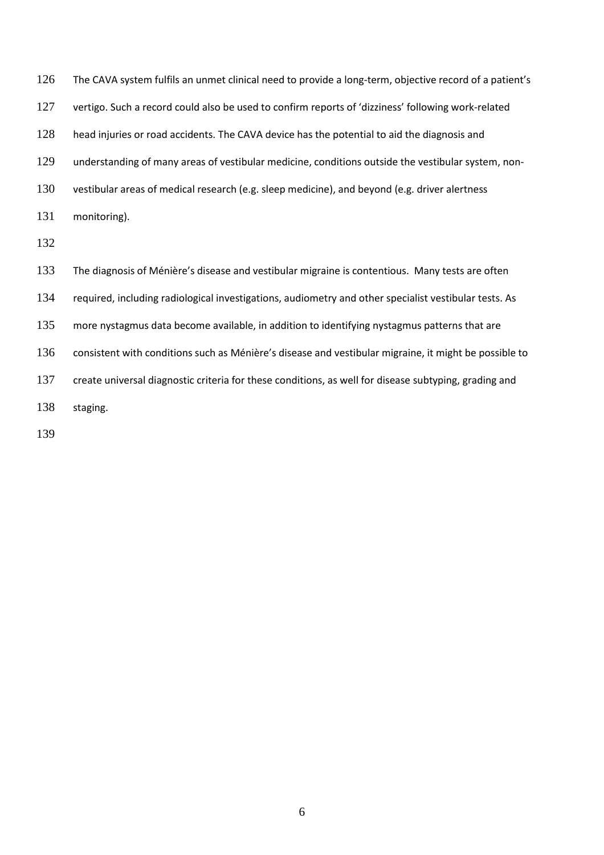| 126 | The CAVA system fulfils an unmet clinical need to provide a long-term, objective record of a patient's |
|-----|--------------------------------------------------------------------------------------------------------|
| 127 | vertigo. Such a record could also be used to confirm reports of 'dizziness' following work-related     |
| 128 | head injuries or road accidents. The CAVA device has the potential to aid the diagnosis and            |
| 129 | understanding of many areas of vestibular medicine, conditions outside the vestibular system, non-     |
| 130 | vestibular areas of medical research (e.g. sleep medicine), and beyond (e.g. driver alertness          |
| 131 | monitoring).                                                                                           |
| 132 |                                                                                                        |
| 133 | The diagnosis of Ménière's disease and vestibular migraine is contentious. Many tests are often        |
| 134 | required, including radiological investigations, audiometry and other specialist vestibular tests. As  |
| 135 | more nystagmus data become available, in addition to identifying nystagmus patterns that are           |
| 136 | consistent with conditions such as Ménière's disease and vestibular migraine, it might be possible to  |
| 137 | create universal diagnostic criteria for these conditions, as well for disease subtyping, grading and  |
| 138 | staging.                                                                                               |
|     |                                                                                                        |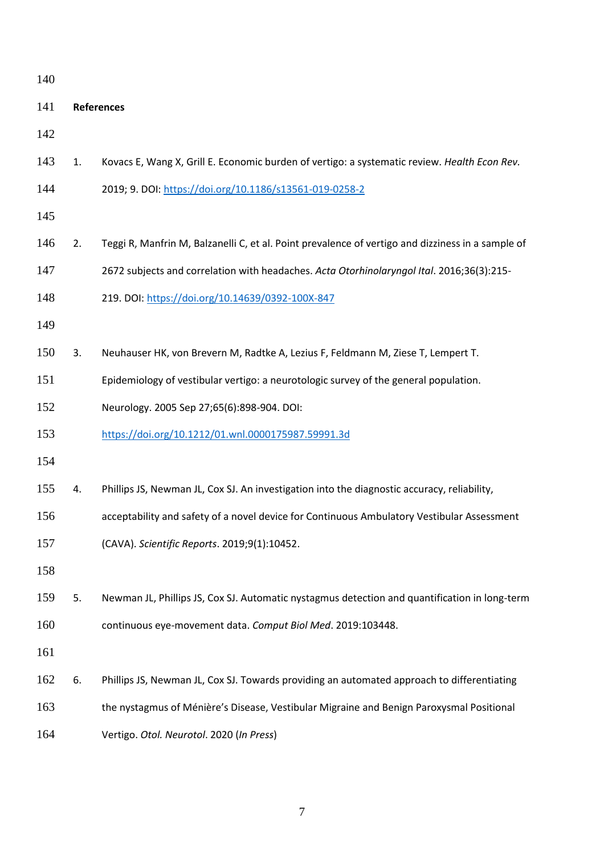| 140 |                   |                                                                                                   |  |  |  |
|-----|-------------------|---------------------------------------------------------------------------------------------------|--|--|--|
| 141 | <b>References</b> |                                                                                                   |  |  |  |
| 142 |                   |                                                                                                   |  |  |  |
| 143 | 1.                | Kovacs E, Wang X, Grill E. Economic burden of vertigo: a systematic review. Health Econ Rev.      |  |  |  |
| 144 |                   | 2019; 9. DOI: https://doi.org/10.1186/s13561-019-0258-2                                           |  |  |  |
| 145 |                   |                                                                                                   |  |  |  |
| 146 | 2.                | Teggi R, Manfrin M, Balzanelli C, et al. Point prevalence of vertigo and dizziness in a sample of |  |  |  |
| 147 |                   | 2672 subjects and correlation with headaches. Acta Otorhinolaryngol Ital. 2016;36(3):215-         |  |  |  |
| 148 |                   | 219. DOI: https://doi.org/10.14639/0392-100X-847                                                  |  |  |  |
| 149 |                   |                                                                                                   |  |  |  |
| 150 | 3.                | Neuhauser HK, von Brevern M, Radtke A, Lezius F, Feldmann M, Ziese T, Lempert T.                  |  |  |  |
| 151 |                   | Epidemiology of vestibular vertigo: a neurotologic survey of the general population.              |  |  |  |
| 152 |                   | Neurology. 2005 Sep 27;65(6):898-904. DOI:                                                        |  |  |  |
| 153 |                   | https://doi.org/10.1212/01.wnl.0000175987.59991.3d                                                |  |  |  |
| 154 |                   |                                                                                                   |  |  |  |
| 155 | 4.                | Phillips JS, Newman JL, Cox SJ. An investigation into the diagnostic accuracy, reliability,       |  |  |  |
| 156 |                   | acceptability and safety of a novel device for Continuous Ambulatory Vestibular Assessment        |  |  |  |
| 157 |                   | (CAVA). Scientific Reports. 2019;9(1):10452.                                                      |  |  |  |
| 158 |                   |                                                                                                   |  |  |  |
| 159 | 5.                | Newman JL, Phillips JS, Cox SJ. Automatic nystagmus detection and quantification in long-term     |  |  |  |
| 160 |                   | continuous eye-movement data. Comput Biol Med. 2019:103448.                                       |  |  |  |
| 161 |                   |                                                                                                   |  |  |  |
| 162 | 6.                | Phillips JS, Newman JL, Cox SJ. Towards providing an automated approach to differentiating        |  |  |  |
| 163 |                   | the nystagmus of Ménière's Disease, Vestibular Migraine and Benign Paroxysmal Positional          |  |  |  |
| 164 |                   | Vertigo. Otol. Neurotol. 2020 (In Press)                                                          |  |  |  |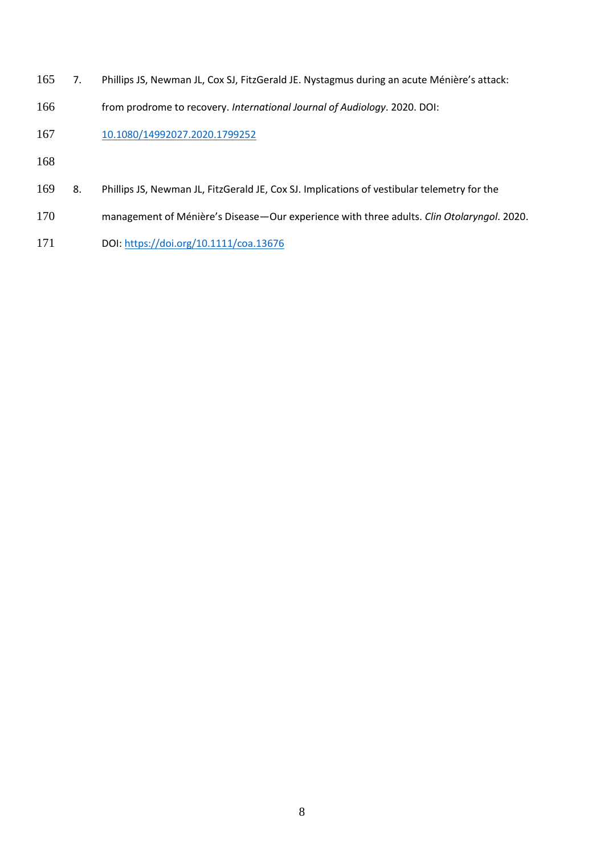- 7. Phillips JS, Newman JL, Cox SJ, FitzGerald JE. Nystagmus during an acute Ménière's attack:
- from prodrome to recovery. *International Journal of Audiology*. 2020. DOI:

[10.1080/14992027.2020.1799252](https://doi.org/10.1080/14992027.2020.1799252)

- 
- 8. Phillips JS, Newman JL, FitzGerald JE, Cox SJ. Implications of vestibular telemetry for the
- management of Ménière's Disease—Our experience with three adults. *Clin Otolaryngol*. 2020.
- DOI[: https://doi.org/10.1111/coa.13676](https://doi.org/10.1111/coa.13676)